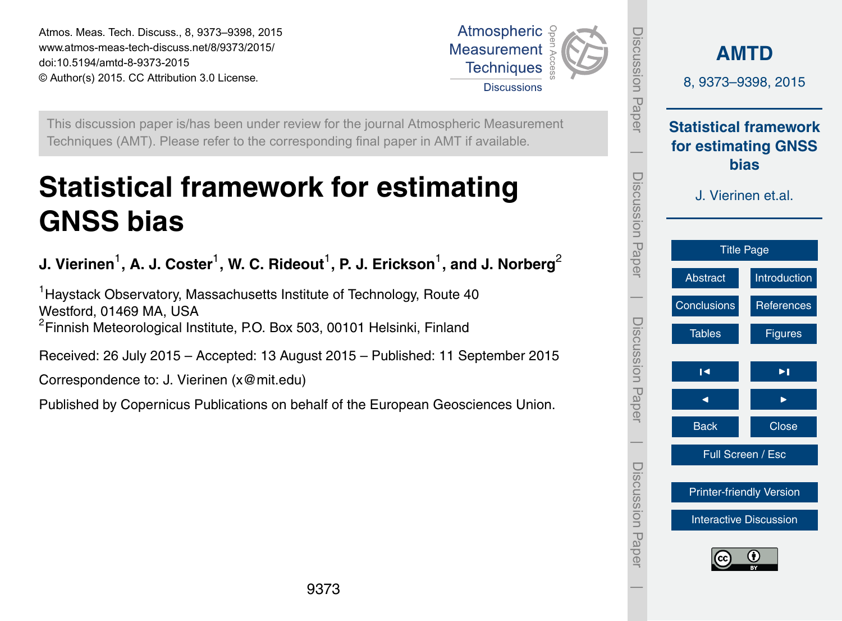<span id="page-0-0"></span>Atmos. Meas. Tech. Discuss., 8, 9373–9398, 2015 www.atmos-meas-tech-discuss.net/8/9373/2015/ doi:10.5194/amtd-8-9373-2015 © Author(s) 2015. CC Attribution 3.0 License.



Integrad

This discussion paper is/has been under review for the journal Atmospheric Measurement Techniques (AMT). Please refer to the corresponding final paper in AMT if available.

# **Statistical framework for estimating GNSS bias**

**J. Vierinen** $^1$ **, A. J. Coster** $^1$ **, W. C. Rideout** $^1$ **, P. J. Erickson** $^1$ **, and J. Norberg** $^2$ 

<sup>1</sup> Haystack Observatory, Massachusetts Institute of Technology, Route 40 Westford, 01469 MA, USA <sup>2</sup>Finnish Meteorological Institute, P.O. Box 503, 00101 Helsinki, Finland

Received: 26 July 2015 – Accepted: 13 August 2015 – Published: 11 September 2015

Correspondence to: J. Vierinen (x@mit.edu)

Published by Copernicus Publications on behalf of the European Geosciences Union.

| Discussion Paper      | <b>AMTD</b><br>8, 9373-9398, 2015<br><b>Statistical framework</b><br>for estimating GNSS<br><b>bias</b><br>J. Vierinen et.al. |                                 |  |
|-----------------------|-------------------------------------------------------------------------------------------------------------------------------|---------------------------------|--|
| I<br>Discussion Paper |                                                                                                                               |                                 |  |
|                       | <b>Title Page</b>                                                                                                             |                                 |  |
|                       | Abstract                                                                                                                      | Introduction                    |  |
|                       | Conclusions                                                                                                                   | References                      |  |
| Discussion Paper      | <b>Tables</b>                                                                                                                 | <b>Figures</b>                  |  |
|                       | Н                                                                                                                             | ▶∣                              |  |
|                       | ◀                                                                                                                             |                                 |  |
|                       | <b>Back</b>                                                                                                                   | <b>Close</b>                    |  |
|                       | Full Screen / Esc                                                                                                             |                                 |  |
|                       |                                                                                                                               | <b>Printer-friendly Version</b> |  |
|                       | <b>Interactive Discussion</b>                                                                                                 |                                 |  |
| Discussion Paper      | Œ                                                                                                                             |                                 |  |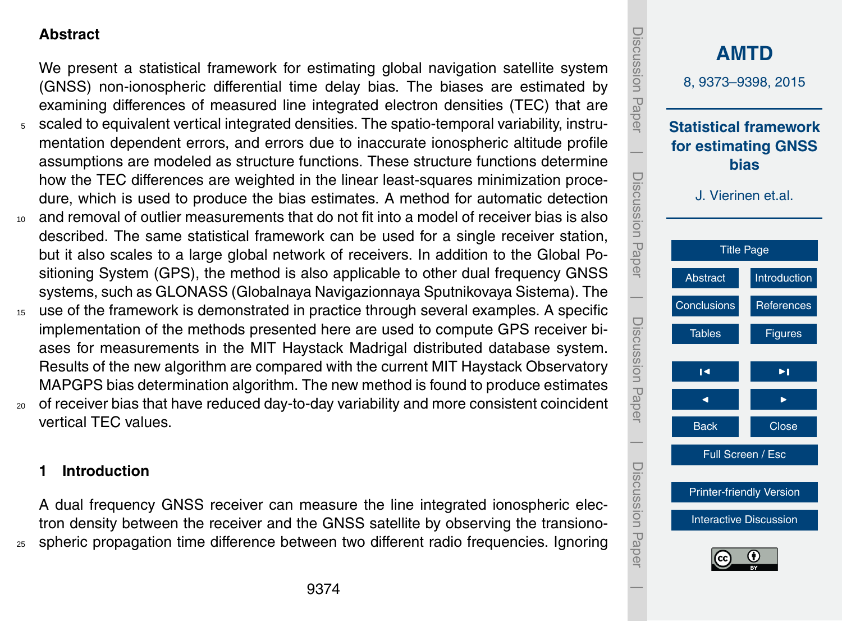# <span id="page-1-0"></span>**Abstract**

We present a statistical framework for estimating global navigation satellite system (GNSS) non-ionospheric differential time delay bias. The biases are estimated by examining differences of measured line integrated electron densities (TEC) that are <sup>5</sup> scaled to equivalent vertical integrated densities. The spatio-temporal variability, instrumentation dependent errors, and errors due to inaccurate ionospheric altitude profile assumptions are modeled as structure functions. These structure functions determine

- how the TEC differences are weighted in the linear least-squares minimization procedure, which is used to produce the bias estimates. A method for automatic detection <sup>10</sup> and removal of outlier measurements that do not fit into a model of receiver bias is also described. The same statistical framework can be used for a single receiver station, but it also scales to a large global network of receivers. In addition to the Global Positioning System (GPS), the method is also applicable to other dual frequency GNSS
- systems, such as GLONASS (Globalnaya Navigazionnaya Sputnikovaya Sistema). The <sup>15</sup> use of the framework is demonstrated in practice through several examples. A specific implementation of the methods presented here are used to compute GPS receiver biases for measurements in the MIT Haystack Madrigal distributed database system. Results of the new algorithm are compared with the current MIT Haystack Observatory
- MAPGPS bias determination algorithm. The new method is found to produce estimates <sup>20</sup> of receiver bias that have reduced day-to-day variability and more consistent coincident vertical TEC values.

# **1 Introduction**

A dual frequency GNSS receiver can measure the line integrated ionospheric electron density between the receiver and the GNSS satellite by observing the transiono-<sup>25</sup> spheric propagation time difference between two different radio frequencies. Ignoring

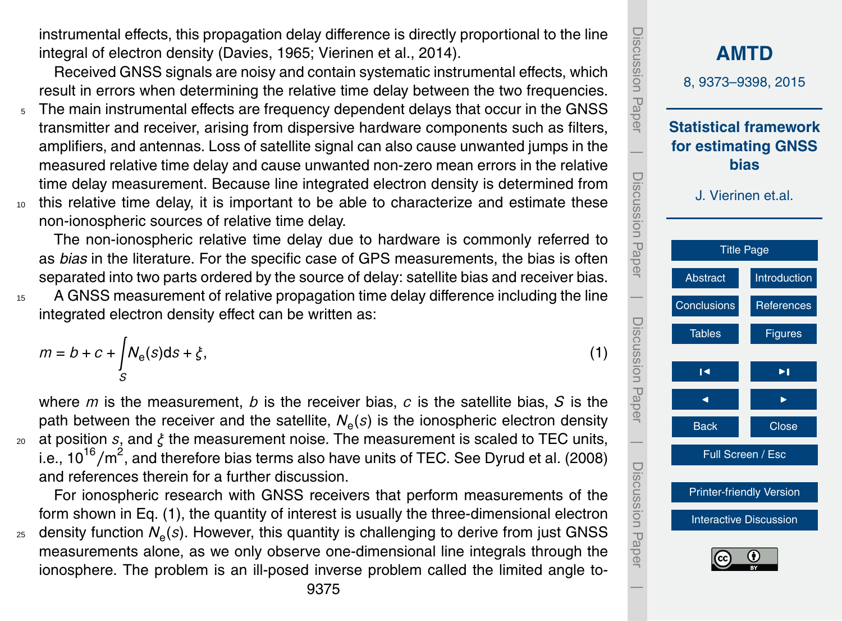<span id="page-2-0"></span>instrumental effects, this propagation delay difference is directly proportional to the line integral of electron density [\(Davies,](#page-18-0) [1965;](#page-18-0) [Vierinen et al.,](#page-19-0) [2014\)](#page-19-0).

Received GNSS signals are noisy and contain systematic instrumental effects, which result in errors when determining the relative time delay between the two frequencies.

- <sup>5</sup> The main instrumental effects are frequency dependent delays that occur in the GNSS transmitter and receiver, arising from dispersive hardware components such as filters, amplifiers, and antennas. Loss of satellite signal can also cause unwanted jumps in the measured relative time delay and cause unwanted non-zero mean errors in the relative time delay measurement. Because line integrated electron density is determined from <sup>10</sup> this relative time delay, it is important to be able to characterize and estimate these
- non-ionospheric sources of relative time delay.

The non-ionospheric relative time delay due to hardware is commonly referred to as *bias* in the literature. For the specific case of GPS measurements, the bias is often separated into two parts ordered by the source of delay: satellite bias and receiver bias.

<sup>15</sup> A GNSS measurement of relative propagation time delay difference including the line integrated electron density effect can be written as:

$$
m = b + c + \int_{S} N_e(s)ds + \xi,
$$
\n(1)

where *m* is the measurement, *b* is the receiver bias, *c* is the satellite bias, *S* is the path between the receiver and the satellite,  $N_e(s)$  is the ionospheric electron density <sup>20</sup> at position *s*, and *ξ* the measurement noise. The measurement is scaled to TEC units, i.e., 10<sup>16</sup>/m<sup>2</sup>, and therefore bias terms also have units of TEC. See [Dyrud et al.](#page-18-0) [\(2008\)](#page-18-0) and references therein for a further discussion.

For ionospheric research with GNSS receivers that perform measurements of the form shown in Eq. (1), the quantity of interest is usually the three-dimensional electron <sub>25</sub> density function  $\mathcal{N}_{\mathrm{e}}(s)$ . However, this quantity is challenging to derive from just GNSS measurements alone, as we only observe one-dimensional line integrals through the ionosphere. The problem is an ill-posed inverse problem called the limited angle to-

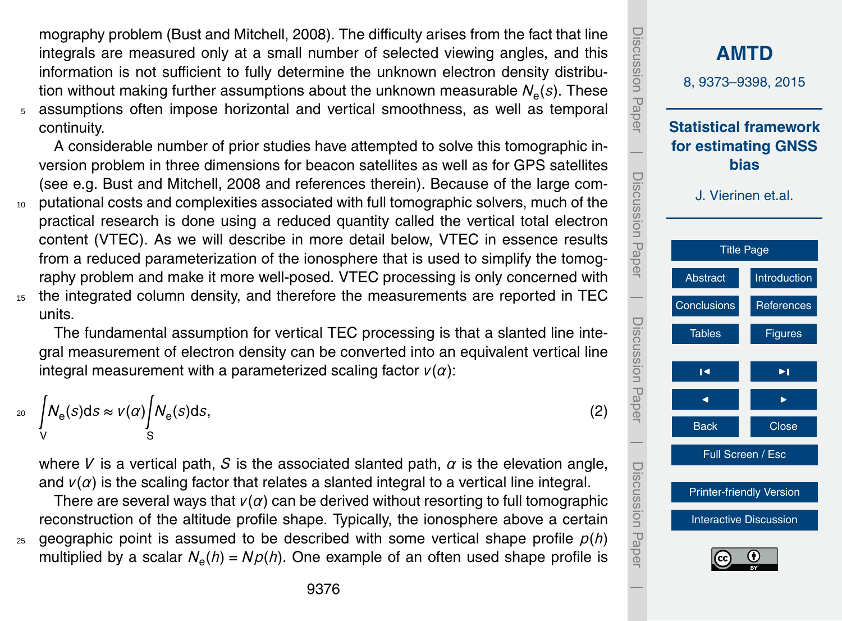<span id="page-3-0"></span>mography problem [\(Bust and Mitchell,](#page-18-0) [2008\)](#page-18-0). The difficulty arises from the fact that line integrals are measured only at a small number of selected viewing angles, and this information is not sufficient to fully determine the unknown electron density distribution without making further assumptions about the unknown measurable  $\mathcal{N}_{\mathbf{e}}(s)$ . These <sup>5</sup> assumptions often impose horizontal and vertical smoothness, as well as temporal continuity.

A considerable number of prior studies have attempted to solve this tomographic inversion problem in three dimensions for beacon satellites as well as for GPS satellites (see e.g. [Bust and Mitchell,](#page-18-0) [2008](#page-18-0) and references therein). Because of the large com-<sup>10</sup> putational costs and complexities associated with full tomographic solvers, much of the practical research is done using a reduced quantity called the vertical total electron content (VTEC). As we will describe in more detail below, VTEC in essence results from a reduced parameterization of the ionosphere that is used to simplify the tomography problem and make it more well-posed. VTEC processing is only concerned with

<sup>15</sup> the integrated column density, and therefore the measurements are reported in TEC units.

The fundamental assumption for vertical TEC processing is that a slanted line integral measurement of electron density can be converted into an equivalent vertical line integral measurement with a parameterized scaling factor *v*(*α*):

$$
\int_{V} N_{e}(s)ds \approx V(\alpha) \int_{S} N_{e}(s)ds,
$$
\n(2)

where *V* is a vertical path, *S* is the associated slanted path,  $\alpha$  is the elevation angle, and  $v(\alpha)$  is the scaling factor that relates a slanted integral to a vertical line integral.

There are several ways that  $v(\alpha)$  can be derived without resorting to full tomographic reconstruction of the altitude profile shape. Typically, the ionosphere above a certain  $25$  geographic point is assumed to be described with some vertical shape profile  $p(h)$ multiplied by a scalar *N*<sup>e</sup> (*h*) = *Np*(*h*). One example of an often used shape profile is

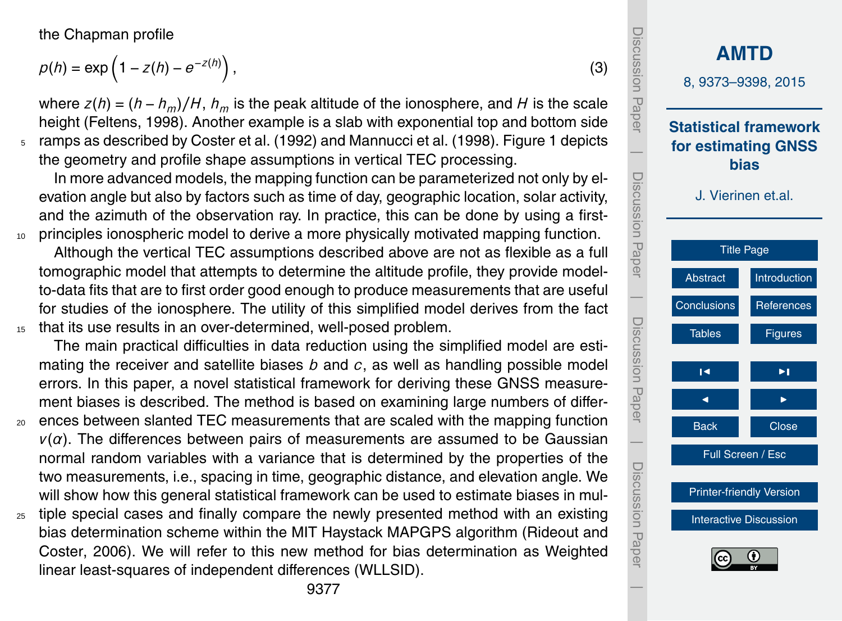<span id="page-4-0"></span>the Chapman profile

$$
\rho(h) = \exp\left(1 - z(h) - e^{-z(h)}\right),\tag{3}
$$

where  $z(h) = (h - h_m)/H$ ,  $h_m$  is the peak altitude of the ionosphere, and *H* is the scale height [\(Feltens,](#page-18-0) [1998\)](#page-18-0). Another example is a slab with exponential top and bottom side <sup>5</sup> ramps as described by [Coster et al.](#page-18-0) [\(1992\)](#page-18-0) and [Mannucci et al.](#page-19-0) [\(1998\)](#page-19-0). Figure [1](#page-20-0) depicts the geometry and profile shape assumptions in vertical TEC processing.

In more advanced models, the mapping function can be parameterized not only by elevation angle but also by factors such as time of day, geographic location, solar activity, and the azimuth of the observation ray. In practice, this can be done by using a first-10 principles ionospheric model to derive a more physically motivated mapping function.

Although the vertical TEC assumptions described above are not as flexible as a full tomographic model that attempts to determine the altitude profile, they provide modelto-data fits that are to first order good enough to produce measurements that are useful for studies of the ionosphere. The utility of this simplified model derives from the fact <sup>15</sup> that its use results in an over-determined, well-posed problem.

The main practical difficulties in data reduction using the simplified model are estimating the receiver and satellite biases *b* and *c*, as well as handling possible model errors. In this paper, a novel statistical framework for deriving these GNSS measurement biases is described. The method is based on examining large numbers of differ-

- <sup>20</sup> ences between slanted TEC measurements that are scaled with the mapping function  $v(\alpha)$ . The differences between pairs of measurements are assumed to be Gaussian normal random variables with a variance that is determined by the properties of the two measurements, i.e., spacing in time, geographic distance, and elevation angle. We will show how this general statistical framework can be used to estimate biases in mul-
- <sub>25</sub> tiple special cases and finally compare the newly presented method with an existing [b](#page-19-0)ias determination scheme within the MIT Haystack MAPGPS algorithm [\(Rideout and](#page-19-0) [Coster,](#page-19-0) [2006\)](#page-19-0). We will refer to this new method for bias determination as Weighted linear least-squares of independent differences (WLLSID).

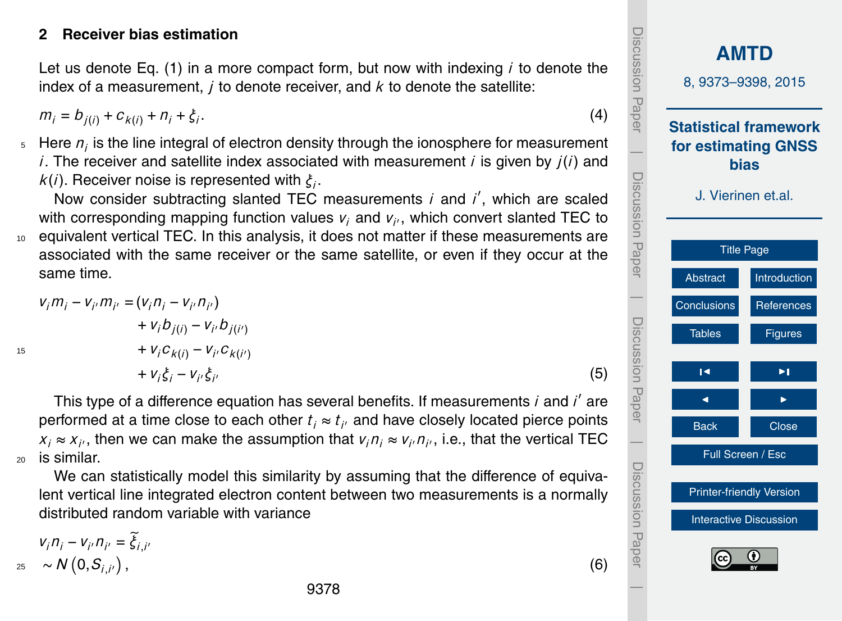#### <span id="page-5-0"></span>**2 Receiver bias estimation**

Let us denote Eq. [\(1\)](#page-2-0) in a more compact form, but now with indexing *i* to denote the index of a measurement, *j* to denote receiver, and *k* to denote the satellite:

 $m_i = b_{i(i)} + c_{k(i)} + n_i + \xi_i$ . .  $(4)$ 

 $5<sub>5</sub>$  Here  $n<sub>i</sub>$  is the line integral of electron density through the ionosphere for measurement *i*. The receiver and satellite index associated with measurement *i* is given by *j*(*i*) and *k*(*i*). Receiver noise is represented with *ξ<sup>i</sup>* .

Now consider subtracting slanted TEC measurements *i* and *i'*, which are scaled with corresponding mapping function values  $v_i$  and  $v_{i'}$ , which convert slanted TEC to <sup>10</sup> equivalent vertical TEC. In this analysis, it does not matter if these measurements are associated with the same receiver or the same satellite, or even if they occur at the same time.

$$
v_{i}m_{i} - v_{i'}m_{i'} = (v_{i}n_{i} - v_{i'}n_{i'})
$$
  
+ 
$$
v_{i}b_{j(i)} - v_{i'}b_{j(i')}
$$
  
+ 
$$
v_{i}c_{k(i)} - v_{i'}c_{k(i')}
$$
  
+ 
$$
v_{i}\xi_{i} - v_{i'}\xi_{i'}
$$
 (5)

This type of a difference equation has several benefits. If measurements *i* and *i'* are performed at a time close to each other  $t_i \approx t_{i'}$  and have closely located pierce points  $x_i \approx x_{i'}$ , then we can make the assumption that  $v_i n_i \approx v_{i'} n_{i'}$ , i.e., that the vertical TEC  $20$  is similar.

We can statistically model this similarity by assuming that the difference of equivalent vertical line integrated electron content between two measurements is a normally distributed random variable with variance

$$
v_{i}n_{i} - v_{i'}n_{i'} = \tilde{\xi}_{i,i'}
$$
  
\n
$$
\sim N(0, S_{i,i'})
$$
\n(6)

15

Discussion PaperDiscussion **[AMTD](http://www.atmos-meas-tech-discuss.net)** 8, 9373–9398, 2015 Papel **Statistical framework for estimating GNSS**  $\overline{\phantom{a}}$ **bias** Discussion PaperDiscussion Paper J. Vierinen et.al. [Title Page](#page-0-0) [Abstract](#page-1-0) [Introduction](#page-1-0)  $\overline{\phantom{a}}$ [Conclusions](#page-16-0) [References](#page-18-0) Discussion Paper**LISCUSSION** Tables **[Figures](#page-20-0)**  $\blacksquare$ Paper J I Back **I** Close  $\overline{\phantom{a}}$ Full Screen / Esc Discussion PaperDiscussion Paper [Printer-friendly Version](http://www.atmos-meas-tech-discuss.net/8/9373/2015/amtd-8-9373-2015-print.pdf) [Interactive Discussion](http://www.atmos-meas-tech-discuss.net/8/9373/2015/amtd-8-9373-2015-discussion.html)  $\overline{\phantom{a}}$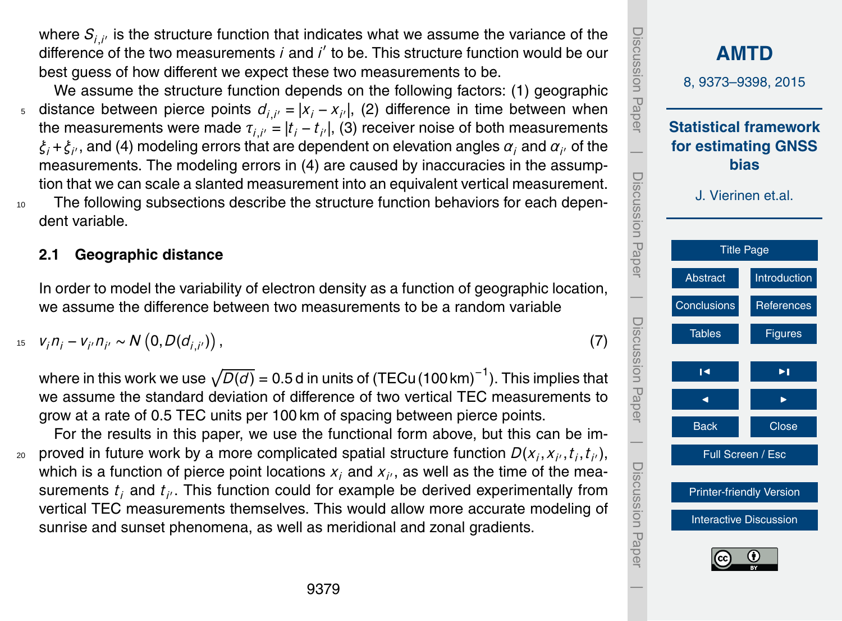where  $\mathcal{S}_{i,i'}$  is the structure function that indicates what we assume the variance of the difference of the two measurements *i* and *i'* to be. This structure function would be our best guess of how different we expect these two measurements to be.

We assume the structure function depends on the following factors: (1) geographic 5 distance between pierce points  $d_{i,i'} = |x_i - x_{i'}|$ , (2) difference in time between when the measurements were made  $\tau_{i,i'}=|t_i-t_{i'}|$ , (3) receiver noise of both measurements  $\xi_i$ + $\xi_{i'}$ , and (4) modeling errors that are dependent on elevation angles  $\alpha_i$  and  $\alpha_{i'}$  of the measurements. The modeling errors in (4) are caused by inaccuracies in the assumption that we can scale a slanted measurement into an equivalent vertical measurement. <sup>10</sup> The following subsections describe the structure function behaviors for each dependent variable.

#### **2.1 Geographic distance**

In order to model the variability of electron density as a function of geographic location, we assume the difference between two measurements to be a random variable

$$
v_i n_i - v_{i'} n_{i'} \sim N(0, D(d_{i,i'})),
$$
\n(7)

where in this work we use  $\sqrt{D(d)}$  = 0.5 d in units of (TECu $\left(100\,\text{km}\right)^{-1}$ ). This implies that we assume the standard deviation of difference of two vertical TEC measurements to grow at a rate of 0.5 TEC units per 100 km of spacing between pierce points.

For the results in this paper, we use the functional form above, but this can be im- $_2$  proved in future work by a more complicated spatial structure function  $D(x_i, x_{i'}, t_i, t_{i'})$ , which is a function of pierce point locations  $x_i$  and  $x_{i'}$ , as well as the time of the measurements  $t_i$  and  $t_{i'}$ . This function could for example be derived experimentally from vertical TEC measurements themselves. This would allow more accurate modeling of sunrise and sunset phenomena, as well as meridional and zonal gradients.

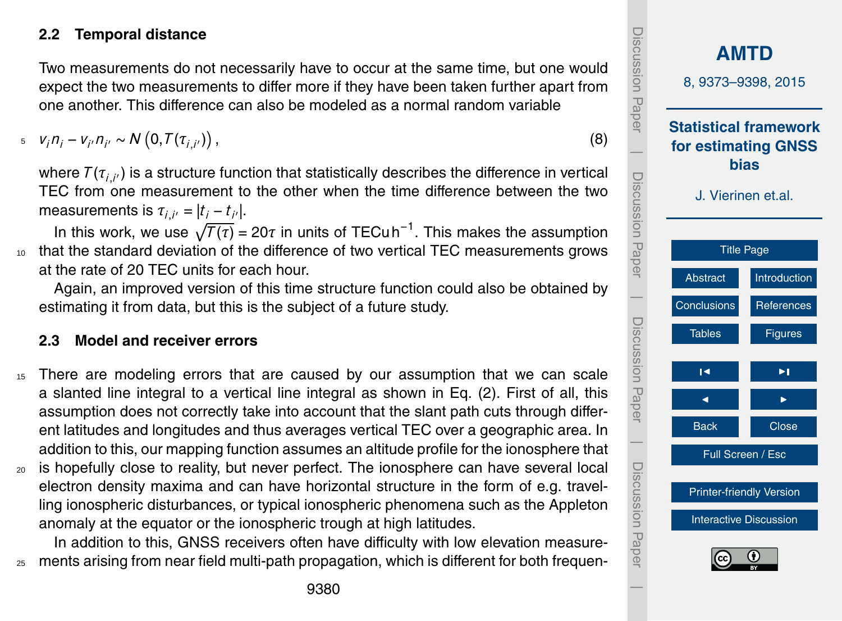# **2.2 Temporal distance**

Two measurements do not necessarily have to occur at the same time, but one would expect the two measurements to differ more if they have been taken further apart from one another. This difference can also be modeled as a normal random variable

 $v_j n_j - v_{j'} n_{j'} \sim N(0, T(\tau_{i,j'})),$ (8)

where  $\mathcal{T}(\tau_{i,i'})$  is a structure function that statistically describes the difference in vertical TEC from one measurement to the other when the time difference between the two measurements is  $\tau_{i,i'} = |t_i - t_{i'}|$ .

In this work, we use  $\sqrt{T(\tau)}$  = 20 $\tau$  in units of TECu h<sup>-1</sup>. This makes the assumption 10 that the standard deviation of the difference of two vertical TEC measurements grows at the rate of 20 TEC units for each hour.

Again, an improved version of this time structure function could also be obtained by estimating it from data, but this is the subject of a future study.

# **2.3 Model and receiver errors**

- <sup>15</sup> There are modeling errors that are caused by our assumption that we can scale a slanted line integral to a vertical line integral as shown in Eq. [\(2\)](#page-3-0). First of all, this assumption does not correctly take into account that the slant path cuts through different latitudes and longitudes and thus averages vertical TEC over a geographic area. In addition to this, our mapping function assumes an altitude profile for the ionosphere that
- <sup>20</sup> is hopefully close to reality, but never perfect. The ionosphere can have several local electron density maxima and can have horizontal structure in the form of e.g. travelling ionospheric disturbances, or typical ionospheric phenomena such as the Appleton anomaly at the equator or the ionospheric trough at high latitudes.

In addition to this, GNSS receivers often have difficulty with low elevation measure-<sub>25</sub> ments arising from near field multi-path propagation, which is different for both frequen-

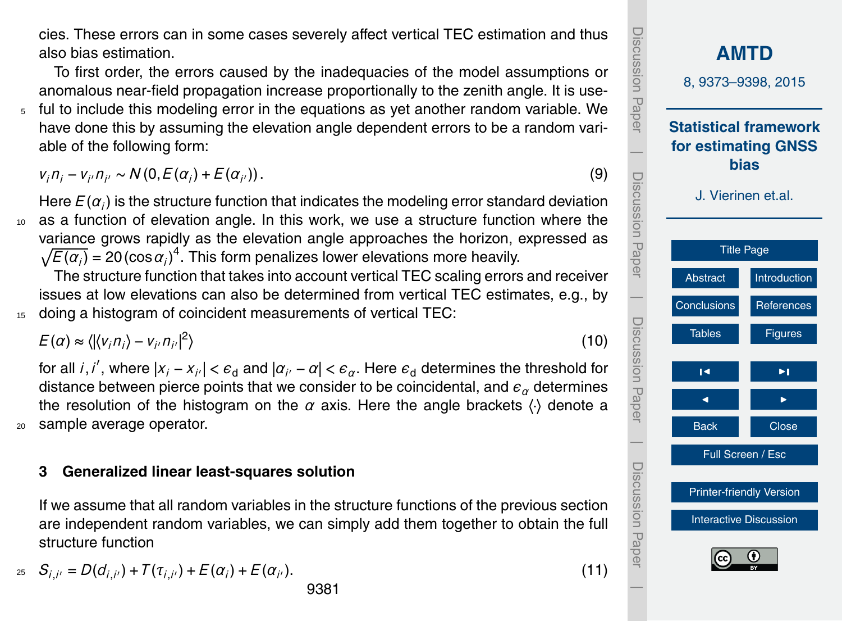cies. These errors can in some cases severely affect vertical TEC estimation and thus also bias estimation.

To first order, the errors caused by the inadequacies of the model assumptions or anomalous near-field propagation increase proportionally to the zenith angle. It is use-<sup>5</sup> ful to include this modeling error in the equations as yet another random variable. We have done this by assuming the elevation angle dependent errors to be a random variable of the following form:

 $v_i n_i - v_{i'} n_{i'} \sim N(0, E(\alpha_i) + E(\alpha_i))$  $(9)$ 

Here  $E(\alpha_i)$  is the structure function that indicates the modeling error standard deviation as a function of elevation angle. In this work, we use a structure function where the variance grows rapidly as the elevation angle approaches the horizon, expressed as  $\sqrt{E(\alpha_i)}$  = 20 (cos  $\alpha_i$ )<sup>4</sup>. This form penalizes lower elevations more heavily.

The structure function that takes into account vertical TEC scaling errors and receiver issues at low elevations can also be determined from vertical TEC estimates, e.g., by doing a histogram of coincident measurements of vertical TEC:

 $E(\alpha) \approx \langle |\langle v_i n_i \rangle - v_{i'} n_{i'} |^2 \rangle$  $\rangle$  (10)

for all  $i$ , $i'$ , where  $|x_i - x_{i'}| < \epsilon_\texttt{d}$  and  $|\alpha_{i'} - \alpha| < \epsilon_\alpha$ . Here  $\epsilon_\texttt{d}$  determines the threshold for distance between pierce points that we consider to be coincidental, and  $\epsilon_{\alpha}$  determines the resolution of the histogram on the  $\alpha$  axis. Here the angle brackets  $\langle \cdot \rangle$  denote a <sup>20</sup> sample average operator.

#### **3 Generalized linear least-squares solution**

If we assume that all random variables in the structure functions of the previous section are independent random variables, we can simply add them together to obtain the full structure function

$$
S_{i,i'} = D(d_{i,i'}) + T(\tau_{i,i'}) + E(\alpha_i) + E(\alpha_{i'}).
$$
\n(11)

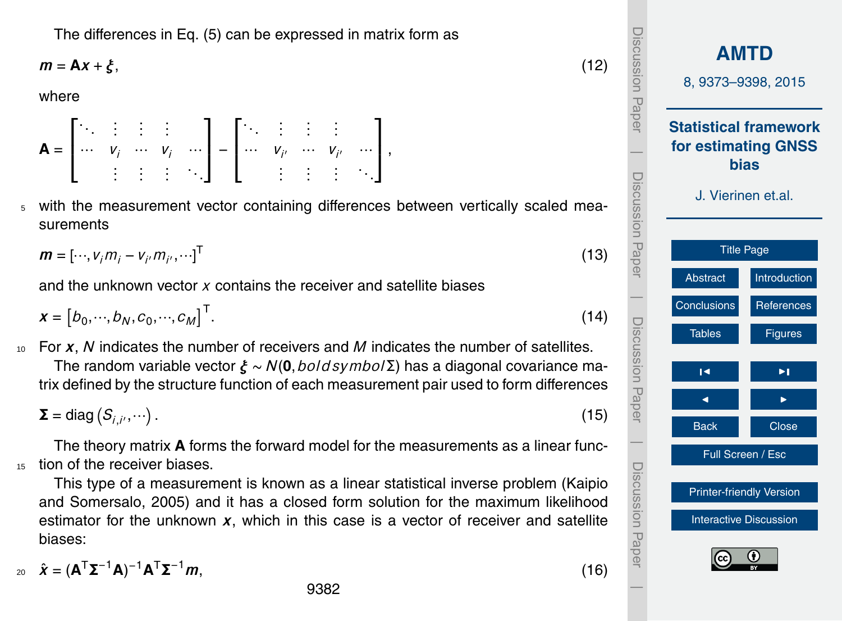<span id="page-9-0"></span>The differences in Eq. [\(5\)](#page-5-0) can be expressed in matrix form as

$$
m = Ax + \xi, \tag{12}
$$

where

**A** = Е  $\overline{\phantom{a}}$ . . . . . . . . . . . .  $\cdots$   $V_i$   $\cdots$   $V_i$   $\cdots$ . . . . . . . . . . . . 1 − Е  $\overline{\phantom{a}}$ . . . . . . . . . . . .  $\cdots$   $V_{i'}$   $\cdots$   $V_{i'}$   $\cdots$ . . . . . . . . . . . . 1  $\vert \cdot$ 

<sup>5</sup> with the measurement vector containing differences between vertically scaled measurements

$$
\mathbf{m} = [\cdots, v_j m_j - v_j m_{j'}, \cdots]^{\mathsf{T}} \tag{13}
$$

and the unknown vector *x* contains the receiver and satellite biases

$$
x = [b_0, \cdots, b_N, c_0, \cdots, c_M]^{\top}.
$$
 (14)

<sup>10</sup> For *x*, *N* indicates the number of receivers and *M* indicates the number of satellites. The random variable vector *ξ* ∼ *N*(**0**,*bold symbol*Σ) has a diagonal covariance matrix defined by the structure function of each measurement pair used to form differences

 $\Sigma = \text{diag} (S_{i,i'}, \cdots)$ .  $(15)$ 

The theory matrix **A** forms the forward model for the measurements as a linear func-<sup>15</sup> tion of the receiver biases.

This type of a measurement is known as a linear statistical inverse problem [\(Kaipio](#page-18-0) [and Somersalo,](#page-18-0) [2005\)](#page-18-0) and it has a closed form solution for the maximum likelihood estimator for the unknown  $x$ , which in this case is a vector of receiver and satellite biases:

$$
z_0 \quad \hat{\boldsymbol{\chi}} = (\mathbf{A}^\top \mathbf{\Sigma}^{-1} \mathbf{A})^{-1} \mathbf{A}^\top \mathbf{\Sigma}^{-1} \boldsymbol{m}, \tag{16}
$$

**[AMTD](http://www.atmos-meas-tech-discuss.net)** 8, 9373–9398, 2015 **Statistical framework for estimating GNSS bias** J. Vierinen et.al. [Title Page](#page-0-0) [Abstract](#page-1-0) [Introduction](#page-1-0) [Conclusions](#page-16-0) [References](#page-18-0) Tables [Figures](#page-20-0) J I J I Back Close Full Screen / Esc [Printer-friendly Version](http://www.atmos-meas-tech-discuss.net/8/9373/2015/amtd-8-9373-2015-print.pdf) [Interactive Discussion](http://www.atmos-meas-tech-discuss.net/8/9373/2015/amtd-8-9373-2015-discussion.html) Discussion Paper | Discussion Paper | Discussion Paper | Discussion Paper|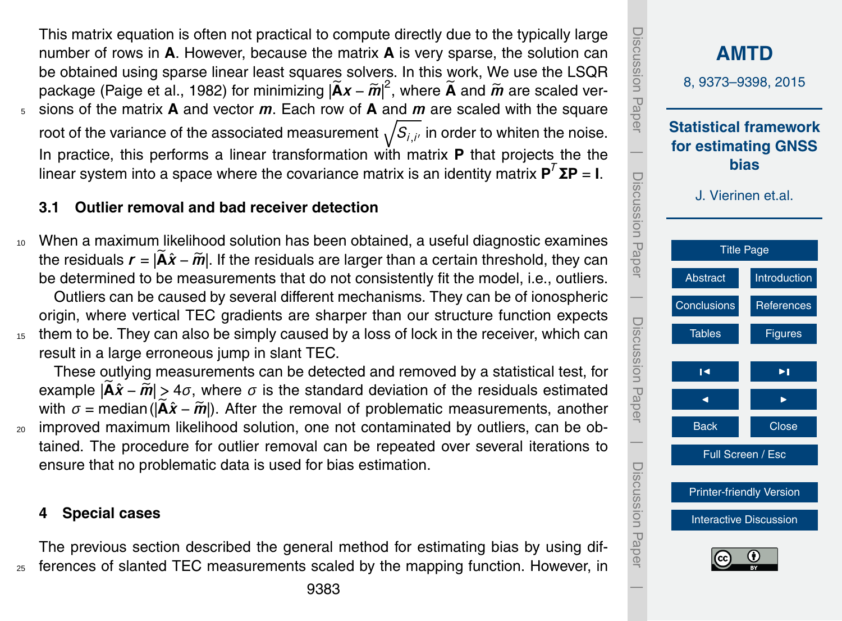<span id="page-10-0"></span>This matrix equation is often not practical to compute directly due to the typically large number of rows in **A**. However, because the matrix **A** is very sparse, the solution can be obtained using sparse linear least squares solvers. In this work, We use the LSQR package [\(Paige et al.,](#page-19-0) [1982\)](#page-19-0) for minimizing  $|\widetilde{\mathbf{A}}\mathbf{x} - \widetilde{\mathbf{m}}|^2$ , where  $\widetilde{\mathbf{A}}$  and  $\widetilde{\mathbf{m}}$  are scaled ver-<br>cione of the metrix **A** end vester **m**. Fesh row of **A** end **m** are scaled with the equator <sup>5</sup> sions of the matrix **A** and vector *m*. Each row of **A** and *m* are scaled with the square root of the variance of the associated measurement  $\sqrt{S_{i,i'}}$  in order to whiten the noise. In practice, this performs a linear transformation with matrix **P** that projects the the linear system into a space where the covariance matrix is an identity matrix  $\mathbf{P}^T \mathbf{\Sigma} \mathbf{P} = \mathbf{I}$ .

# **3.1 Outlier removal and bad receiver detection**

<sup>10</sup> When a maximum likelihood solution has been obtained, a useful diagnostic examines the residuals  $r = |\mathbf{A}\hat{x} - \mathbf{m}|$ . If the residuals are larger than a certain threshold, they can be determined to be measurements that do not consistently fit the model, i.e., outliers. Outliers can be caused by several different mechanisms. They can be of ionospheric origin, where vertical TEC gradients are sharper than our structure function expects

<sup>15</sup> them to be. They can also be simply caused by a loss of lock in the receiver, which can result in a large erroneous jump in slant TEC.

These outlying measurements can be detected and removed by a statistical test, for example  $|\tilde{A}\hat{x} - \tilde{m}| > 4\sigma$ , where  $\sigma$  is the standard deviation of the residuals estimated with  $\sigma$  = median ( $|\hat{\mathbf{A}}\hat{\mathbf{x}} - \hat{\mathbf{m}}|$ ). After the removal of problematic measurements, another <sub>20</sub> improved maximum likelihood solution, one not contaminated by outliers, can be obtained. The procedure for outlier removal can be repeated over several iterations to ensure that no problematic data is used for bias estimation.

#### **4 Special cases**

The previous section described the general method for estimating bias by using differences of slanted TEC measurements scaled by the mapping function. However, in

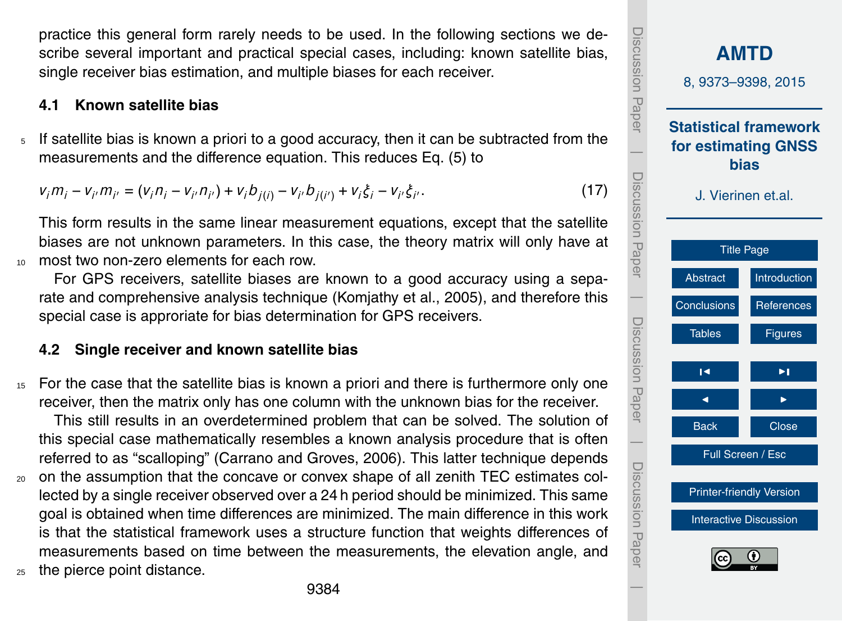<span id="page-11-0"></span>practice this general form rarely needs to be used. In the following sections we describe several important and practical special cases, including: known satellite bias, single receiver bias estimation, and multiple biases for each receiver.

#### **4.1 Known satellite bias**

 $5$  If satellite bias is known a priori to a good accuracy, then it can be subtracted from the measurements and the difference equation. This reduces Eq. [\(5\)](#page-5-0) to

$$
v_j m_j - v_{j'} m_{j'} = (v_j n_j - v_{j'} n_{j'}) + v_j b_{j(i)} - v_{j'} b_{j(i')} + v_j \xi_j - v_{j'} \xi_{j'}.
$$
\n(17)

This form results in the same linear measurement equations, except that the satellite biases are not unknown parameters. In this case, the theory matrix will only have at <sup>10</sup> most two non-zero elements for each row.

For GPS receivers, satellite biases are known to a good accuracy using a separate and comprehensive analysis technique [\(Komjathy et al.,](#page-19-0) [2005\)](#page-19-0), and therefore this special case is approriate for bias determination for GPS receivers.

#### **4.2 Single receiver and known satellite bias**

<sup>15</sup> For the case that the satellite bias is known a priori and there is furthermore only one receiver, then the matrix only has one column with the unknown bias for the receiver.

This still results in an overdetermined problem that can be solved. The solution of this special case mathematically resembles a known analysis procedure that is often referred to as "scalloping" [\(Carrano and Groves,](#page-18-0) [2006\)](#page-18-0). This latter technique depends

- <sup>20</sup> on the assumption that the concave or convex shape of all zenith TEC estimates collected by a single receiver observed over a 24 h period should be minimized. This same goal is obtained when time differences are minimized. The main difference in this work is that the statistical framework uses a structure function that weights differences of measurements based on time between the measurements, the elevation angle, and
- <sup>25</sup> the pierce point distance.

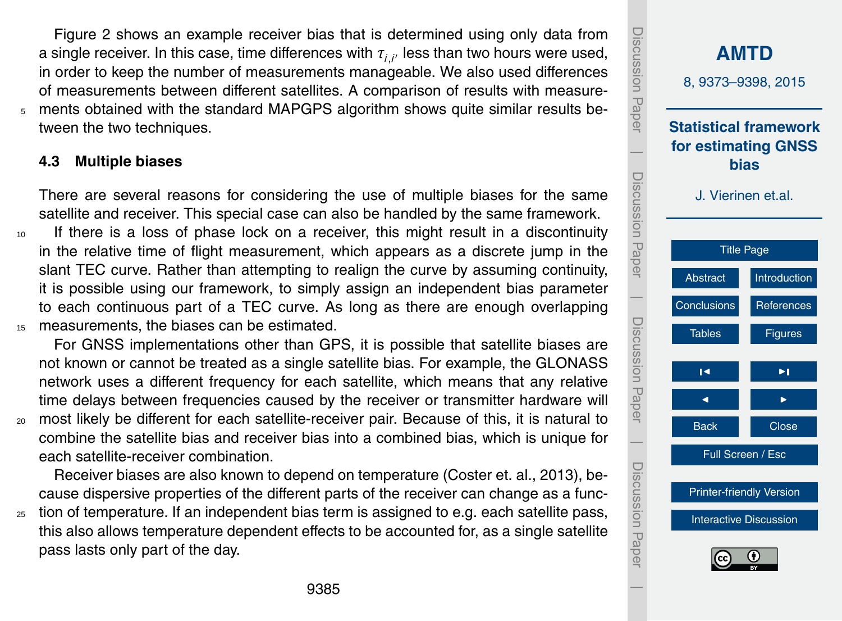<span id="page-12-0"></span>Figure [2](#page-21-0) shows an example receiver bias that is determined using only data from a single receiver. In this case, time differences with *τi*,*<sup>i</sup>* <sup>0</sup> less than two hours were used, in order to keep the number of measurements manageable. We also used differences of measurements between different satellites. A comparison of results with measure-<sup>5</sup> ments obtained with the standard MAPGPS algorithm shows quite similar results between the two techniques.

## **4.3 Multiple biases**

There are several reasons for considering the use of multiple biases for the same satellite and receiver. This special case can also be handled by the same framework.

<sup>10</sup> If there is a loss of phase lock on a receiver, this might result in a discontinuity in the relative time of flight measurement, which appears as a discrete jump in the slant TEC curve. Rather than attempting to realign the curve by assuming continuity, it is possible using our framework, to simply assign an independent bias parameter to each continuous part of a TEC curve. As long as there are enough overlapping <sup>15</sup> measurements, the biases can be estimated.

For GNSS implementations other than GPS, it is possible that satellite biases are not known or cannot be treated as a single satellite bias. For example, the GLONASS network uses a different frequency for each satellite, which means that any relative time delays between frequencies caused by the receiver or transmitter hardware will

<sup>20</sup> most likely be different for each satellite-receiver pair. Because of this, it is natural to combine the satellite bias and receiver bias into a combined bias, which is unique for each satellite-receiver combination.

Receiver biases are also known to depend on temperature [\(Coster et. al.,](#page-18-0) [2013\)](#page-18-0), because dispersive properties of the different parts of the receiver can change as a func-

 $25$  tion of temperature. If an independent bias term is assigned to e.g. each satellite pass, this also allows temperature dependent effects to be accounted for, as a single satellite pass lasts only part of the day.

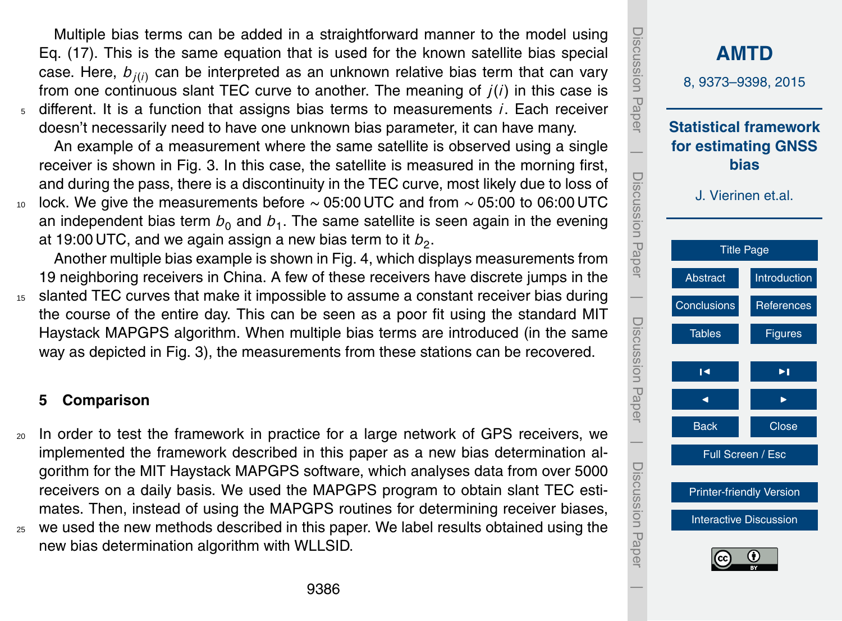Multiple bias terms can be added in a straightforward manner to the model using Eq. [\(17\)](#page-11-0). This is the same equation that is used for the known satellite bias special case. Here,  $b_{ji(i)}$  can be interpreted as an unknown relative bias term that can vary from one continuous slant TEC curve to another. The meaning of *j*(*i*) in this case is <sup>5</sup> different. It is a function that assigns bias terms to measurements *i*. Each receiver doesn't necessarily need to have one unknown bias parameter, it can have many.

An example of a measurement where the same satellite is observed using a single receiver is shown in Fig. [3.](#page-22-0) In this case, the satellite is measured in the morning first, and during the pass, there is a discontinuity in the TEC curve, most likely due to loss of  $10$  lock. We give the measurements before ~ 05:00 UTC and from ~ 05:00 to 06:00 UTC an independent bias term  $b_0$  and  $b_1$ . The same satellite is seen again in the evening

at 19:00 UTC, and we again assign a new bias term to it  $b_{2}$ .

Another multiple bias example is shown in Fig. [4,](#page-23-0) which displays measurements from 19 neighboring receivers in China. A few of these receivers have discrete jumps in the <sup>15</sup> slanted TEC curves that make it impossible to assume a constant receiver bias during the course of the entire day. This can be seen as a poor fit using the standard MIT

Haystack MAPGPS algorithm. When multiple bias terms are introduced (in the same way as depicted in Fig. [3\)](#page-22-0), the measurements from these stations can be recovered.

#### **5 Comparison**

<sup>20</sup> In order to test the framework in practice for a large network of GPS receivers, we implemented the framework described in this paper as a new bias determination algorithm for the MIT Haystack MAPGPS software, which analyses data from over 5000 receivers on a daily basis. We used the MAPGPS program to obtain slant TEC estimates. Then, instead of using the MAPGPS routines for determining receiver biases, <sup>25</sup> we used the new methods described in this paper. We label results obtained using the new bias determination algorithm with WLLSID.

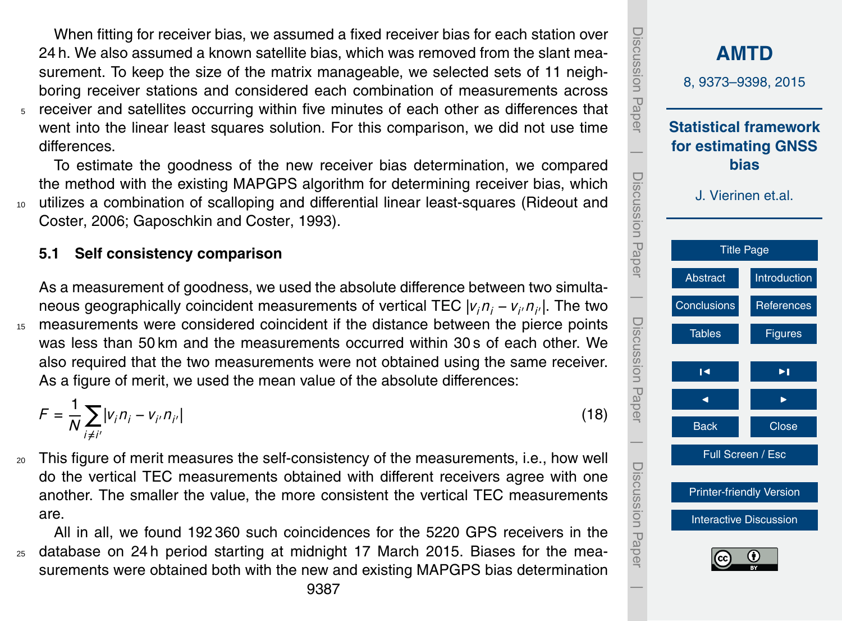<span id="page-14-0"></span>When fitting for receiver bias, we assumed a fixed receiver bias for each station over 24 h. We also assumed a known satellite bias, which was removed from the slant measurement. To keep the size of the matrix manageable, we selected sets of 11 neighboring receiver stations and considered each combination of measurements across <sup>5</sup> receiver and satellites occurring within five minutes of each other as differences that went into the linear least squares solution. For this comparison, we did not use time differences.

To estimate the goodness of the new receiver bias determination, we compared the method with the existing MAPGPS algorithm for determining receiver bias, which <sup>10</sup> [u](#page-19-0)tilizes a combination of scalloping and differential linear least-squares [\(Rideout and](#page-19-0) [Coster,](#page-19-0) [2006;](#page-19-0) [Gaposchkin and Coster,](#page-18-0) [1993\)](#page-18-0).

#### **5.1 Self consistency comparison**

As a measurement of goodness, we used the absolute difference between two simultaneous geographically coincident measurements of vertical TEC  $|v_i n_i - v_{i'} n_{i'}|$ . The two <sup>15</sup> measurements were considered coincident if the distance between the pierce points was less than 50 km and the measurements occurred within 30 s of each other. We also required that the two measurements were not obtained using the same receiver. As a figure of merit, we used the mean value of the absolute differences:

$$
F = \frac{1}{N} \sum_{i \neq i'} |v_i n_i - v_{i'} n_{i'}|
$$
 (18)

<sup>20</sup> This figure of merit measures the self-consistency of the measurements, i.e., how well do the vertical TEC measurements obtained with different receivers agree with one another. The smaller the value, the more consistent the vertical TEC measurements are.

All in all, we found 192 360 such coincidences for the 5220 GPS receivers in the <sup>25</sup> database on 24 h period starting at midnight 17 March 2015. Biases for the measurements were obtained both with the new and existing MAPGPS bias determination

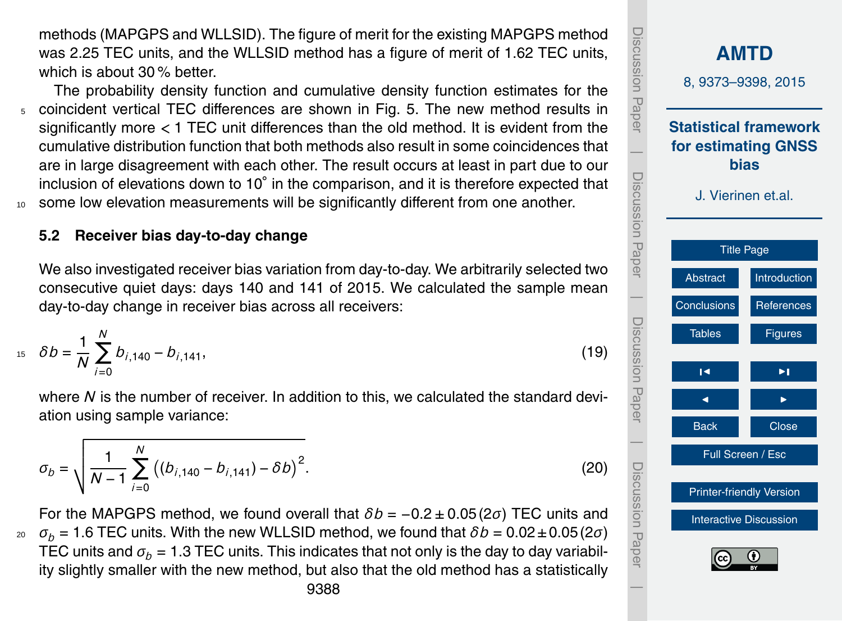methods (MAPGPS and WLLSID). The figure of merit for the existing MAPGPS method was 2.25 TEC units, and the WLLSID method has a figure of merit of 1.62 TEC units, which is about 30 % better.

The probability density function and cumulative density function estimates for the <sup>5</sup> coincident vertical TEC differences are shown in Fig. [5.](#page-24-0) The new method results in significantly more *<* 1 TEC unit differences than the old method. It is evident from the cumulative distribution function that both methods also result in some coincidences that are in large disagreement with each other. The result occurs at least in part due to our inclusion of elevations down to 10° in the comparison, and it is therefore expected that some low elevation measurements will be significantly different from one another.

# **5.2 Receiver bias day-to-day change**

We also investigated receiver bias variation from day-to-day. We arbitrarily selected two consecutive quiet days: days 140 and 141 of 2015. We calculated the sample mean day-to-day change in receiver bias across all receivers:

$$
b_1 = \delta b = \frac{1}{N} \sum_{i=0}^{N} b_{i,140} - b_{i,141},
$$
\n(19)

where *N* is the number of receiver. In addition to this, we calculated the standard deviation using sample variance:

$$
\sigma_b = \sqrt{\frac{1}{N-1} \sum_{i=0}^{N} ((b_{i,140} - b_{i,141}) - \delta b)^2}.
$$
 (20)

For the MAPGPS method, we found overall that *δb* = −0.2 ± 0.05 (2*σ*) TEC units and <sup>20</sup>  $σ<sub>b</sub> = 1.6$  TEC units. With the new WLLSID method, we found that  $δb = 0.02 ± 0.05 (2σ)$ TEC units and  $\sigma_b = 1.3$  TEC units. This indicates that not only is the day to day variability slightly smaller with the new method, but also that the old method has a statistically

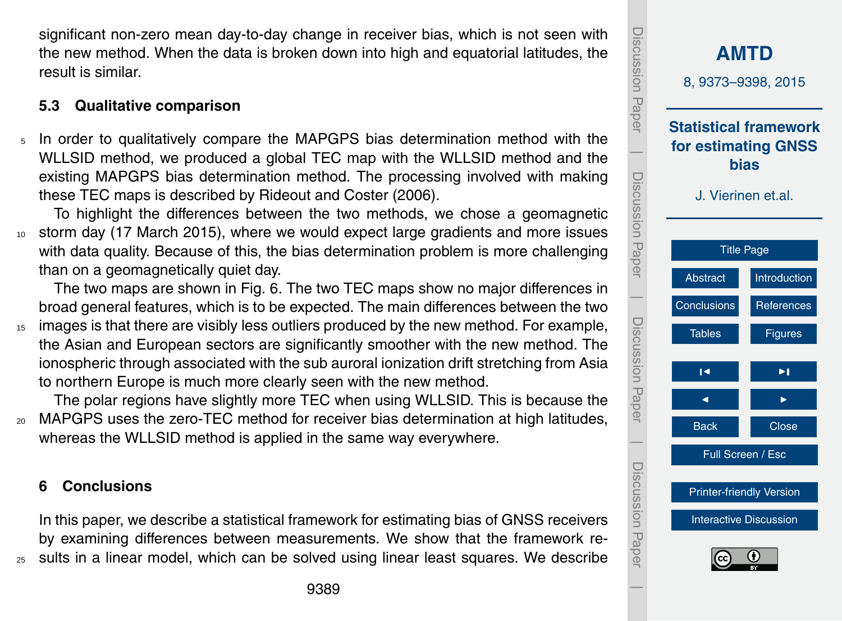<span id="page-16-0"></span>significant non-zero mean day-to-day change in receiver bias, which is not seen with the new method. When the data is broken down into high and equatorial latitudes, the result is similar.

# **5.3 Qualitative comparison**

<sup>5</sup> In order to qualitatively compare the MAPGPS bias determination method with the WLLSID method, we produced a global TEC map with the WLLSID method and the existing MAPGPS bias determination method. The processing involved with making these TEC maps is described by Rideout and Coster [\(2006\)](#page-19-0).

To highlight the differences between the two methods, we chose a geomagnetic storm day (17 March 2015), where we would expect large gradients and more issues with data quality. Because of this, the bias determination problem is more challenging than on a geomagnetically quiet day.

The two maps are shown in Fig. [6.](#page-25-0) The two TEC maps show no major differences in broad general features, which is to be expected. The main differences between the two

<sup>15</sup> images is that there are visibly less outliers produced by the new method. For example, the Asian and European sectors are significantly smoother with the new method. The ionospheric through associated with the sub auroral ionization drift stretching from Asia to northern Europe is much more clearly seen with the new method.

The polar regions have slightly more TEC when using WLLSID. This is because the

<sup>20</sup> MAPGPS uses the zero-TEC method for receiver bias determination at high latitudes, whereas the WLLSID method is applied in the same way everywhere.

# **6 Conclusions**

In this paper, we describe a statistical framework for estimating bias of GNSS receivers by examining differences between measurements. We show that the framework re-<sup>25</sup> sults in a linear model, which can be solved using linear least squares. We describe

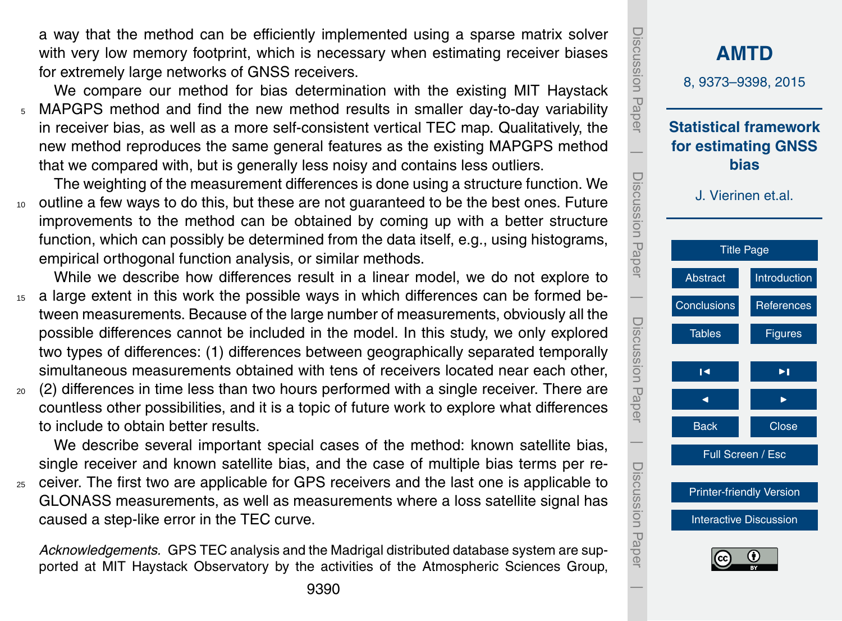a way that the method can be efficiently implemented using a sparse matrix solver with very low memory footprint, which is necessary when estimating receiver biases for extremely large networks of GNSS receivers.

We compare our method for bias determination with the existing MIT Haystack <sup>5</sup> MAPGPS method and find the new method results in smaller day-to-day variability in receiver bias, as well as a more self-consistent vertical TEC map. Qualitatively, the new method reproduces the same general features as the existing MAPGPS method that we compared with, but is generally less noisy and contains less outliers.

The weighting of the measurement differences is done using a structure function. We <sup>10</sup> outline a few ways to do this, but these are not guaranteed to be the best ones. Future improvements to the method can be obtained by coming up with a better structure function, which can possibly be determined from the data itself, e.g., using histograms, empirical orthogonal function analysis, or similar methods.

While we describe how differences result in a linear model, we do not explore to 15 a large extent in this work the possible ways in which differences can be formed between measurements. Because of the large number of measurements, obviously all the possible differences cannot be included in the model. In this study, we only explored two types of differences: (1) differences between geographically separated temporally simultaneous measurements obtained with tens of receivers located near each other,

<sup>20</sup> (2) differences in time less than two hours performed with a single receiver. There are countless other possibilities, and it is a topic of future work to explore what differences to include to obtain better results.

We describe several important special cases of the method: known satellite bias, single receiver and known satellite bias, and the case of multiple bias terms per re-

<sup>25</sup> ceiver. The first two are applicable for GPS receivers and the last one is applicable to GLONASS measurements, as well as measurements where a loss satellite signal has caused a step-like error in the TEC curve.

*Acknowledgements.* GPS TEC analysis and the Madrigal distributed database system are supported at MIT Haystack Observatory by the activities of the Atmospheric Sciences Group,

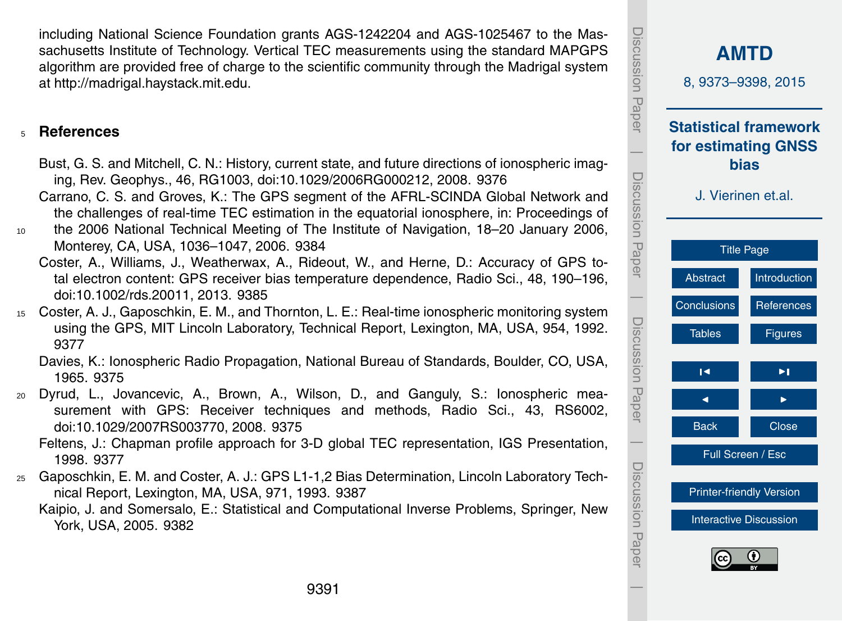<span id="page-18-0"></span>including National Science Foundation grants AGS-1242204 and AGS-1025467 to the Massachusetts Institute of Technology. Vertical TEC measurements using the standard MAPGPS algorithm are provided free of charge to the scientific community through the Madrigal system at [http://madrigal.haystack.mit.edu.](http://madrigal.haystack.mit.edu)

#### <sup>5</sup> **References**

- Bust, G. S. and Mitchell, C. N.: History, current state, and future directions of ionospheric imaging, Rev. Geophys., 46, RG1003, doi[:10.1029/2006RG000212,](http://dx.doi.org/10.1029/2006RG000212) 2008. [9376](#page-3-0)
- Carrano, C. S. and Groves, K.: The GPS segment of the AFRL-SCINDA Global Network and the challenges of real-time TEC estimation in the equatorial ionosphere, in: Proceedings of
- <sup>10</sup> the 2006 National Technical Meeting of The Institute of Navigation, 18–20 January 2006, Monterey, CA, USA, 1036–1047, 2006. [9384](#page-11-0)
	- Coster, A., Williams, J., Weatherwax, A., Rideout, W., and Herne, D.: Accuracy of GPS total electron content: GPS receiver bias temperature dependence, Radio Sci., 48, 190–196, doi[:10.1002/rds.20011,](http://dx.doi.org/10.1002/rds.20011) 2013. [9385](#page-12-0)
- <sup>15</sup> Coster, A. J., Gaposchkin, E. M., and Thornton, L. E.: Real-time ionospheric monitoring system using the GPS, MIT Lincoln Laboratory, Technical Report, Lexington, MA, USA, 954, 1992. [9377](#page-4-0)

Davies, K.: Ionospheric Radio Propagation, National Bureau of Standards, Boulder, CO, USA, 1965. [9375](#page-2-0)

<sup>20</sup> Dyrud, L., Jovancevic, A., Brown, A., Wilson, D., and Ganguly, S.: Ionospheric measurement with GPS: Receiver techniques and methods, Radio Sci., 43, RS6002, doi[:10.1029/2007RS003770,](http://dx.doi.org/10.1029/2007RS003770) 2008. [9375](#page-2-0)

Feltens, J.: Chapman profile approach for 3-D global TEC representation, IGS Presentation, 1998. [9377](#page-4-0)

<sup>25</sup> Gaposchkin, E. M. and Coster, A. J.: GPS L1-1,2 Bias Determination, Lincoln Laboratory Technical Report, Lexington, MA, USA, 971, 1993. [9387](#page-14-0)

Kaipio, J. and Somersalo, E.: Statistical and Computational Inverse Problems, Springer, New York, USA, 2005. [9382](#page-9-0)

| Discussion Paper                  | <b>AMTD</b><br>8, 9373-9398, 2015                                                                                                         |                |  |
|-----------------------------------|-------------------------------------------------------------------------------------------------------------------------------------------|----------------|--|
|                                   | <b>Statistical framework</b><br>for estimating GNSS<br>bias<br>J. Vierinen et.al.<br><b>Title Page</b><br><b>Abstract</b><br>Introduction |                |  |
| Discussion Paper                  |                                                                                                                                           |                |  |
|                                   | Conclusions                                                                                                                               | References     |  |
| Discussion Paper                  | <b>Tables</b>                                                                                                                             | <b>Figures</b> |  |
|                                   | R                                                                                                                                         | ►∣             |  |
|                                   |                                                                                                                                           |                |  |
|                                   | <b>Back</b>                                                                                                                               | <b>Close</b>   |  |
|                                   | Full Screen / Esc                                                                                                                         |                |  |
|                                   | <b>Printer-friendly Version</b>                                                                                                           |                |  |
| Discussion<br>Discussion<br>Paper | <b>Interactive Discussion</b>                                                                                                             |                |  |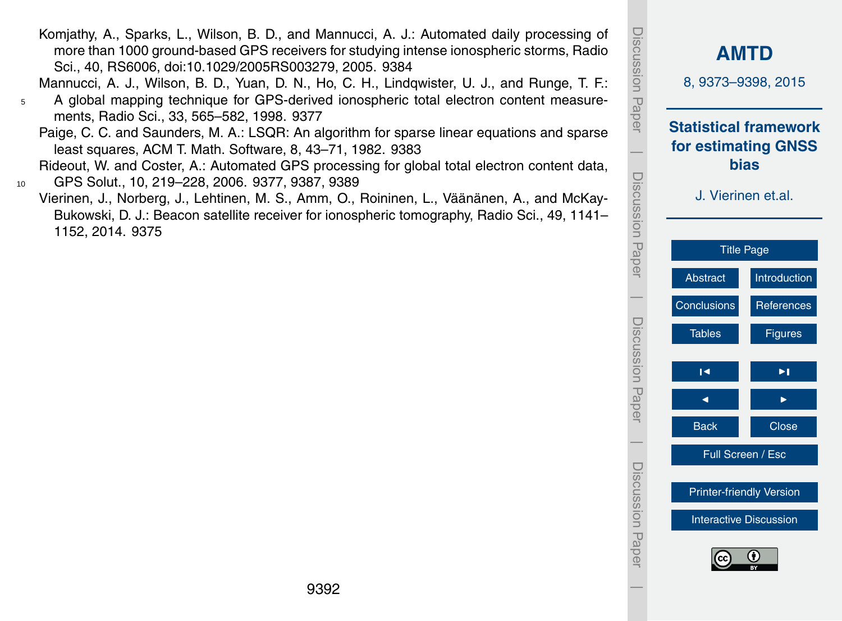**[AMTD](http://www.atmos-meas-tech-discuss.net)** 8, 9373–9398, 2015 **Statistical framework for estimating GNSS bias** J. Vierinen et.al. [Title Page](#page-0-0) [Abstract](#page-1-0) [Introduction](#page-1-0) [Conclusions](#page-16-0) [References](#page-18-0) Tables **[Figures](#page-20-0)**  $\blacksquare$ J I Back **I** Close Full Screen / Esc [Printer-friendly Version](http://www.atmos-meas-tech-discuss.net/8/9373/2015/amtd-8-9373-2015-print.pdf) [Interactive Discussion](http://www.atmos-meas-tech-discuss.net/8/9373/2015/amtd-8-9373-2015-discussion.html)

Discussion Paper

Discussion

 $\overline{\phantom{a}}$ 

Paper

Discussion Paper

Discussion Paper

 $\overline{\phantom{a}}$ 

Discussion Paper

Discussion Paper

 $\overline{\phantom{a}}$ 

Discussion Paper

Discussion Paper

 $\overline{\phantom{a}}$ 

<span id="page-19-0"></span>Komjathy, A., Sparks, L., Wilson, B. D., and Mannucci, A. J.: Automated daily processing of more than 1000 ground-based GPS receivers for studying intense ionospheric storms, Radio Sci., 40, RS6006, doi[:10.1029/2005RS003279,](http://dx.doi.org/10.1029/2005RS003279) 2005. [9384](#page-11-0)

Mannucci, A. J., Wilson, B. D., Yuan, D. N., Ho, C. H., Lindqwister, U. J., and Runge, T. F.:

<sup>5</sup> A global mapping technique for GPS-derived ionospheric total electron content measurements, Radio Sci., 33, 565–582, 1998. [9377](#page-4-0)

Paige, C. C. and Saunders, M. A.: LSQR: An algorithm for sparse linear equations and sparse least squares, ACM T. Math. Software, 8, 43–71, 1982. [9383](#page-10-0)

Rideout, W. and Coster, A.: Automated GPS processing for global total electron content data, <sup>10</sup> GPS Solut., 10, 219–228, 2006. [9377,](#page-4-0) [9387,](#page-14-0) [9389](#page-16-0)

Vierinen, J., Norberg, J., Lehtinen, M. S., Amm, O., Roininen, L., Väänänen, A., and McKay-Bukowski, D. J.: Beacon satellite receiver for ionospheric tomography, Radio Sci., 49, 1141– 1152, 2014. [9375](#page-2-0)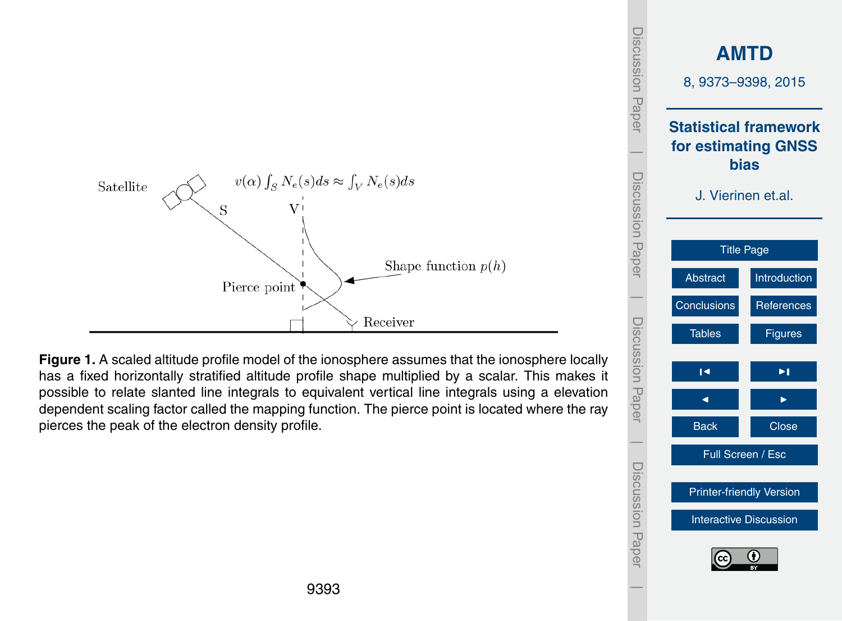<span id="page-20-0"></span>

**Figure 1.** A scaled altitude profile model of the ionosphere assumes that the ionosphere locally has a fixed horizontally stratified altitude profile shape multiplied by a scalar. This makes it possible to relate slanted line integrals to equivalent vertical line integrals using a elevation dependent scaling factor called the mapping function. The pierce point is located where the ray pierces the peak of the electron density profile.

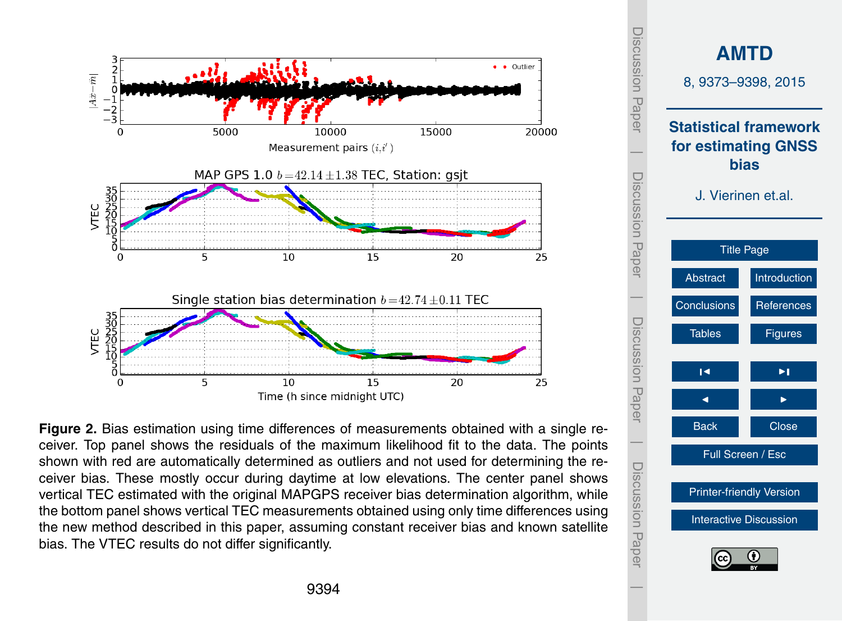<span id="page-21-0"></span>

**Figure 2.** Bias estimation using time differences of measurements obtained with a single receiver. Top panel shows the residuals of the maximum likelihood fit to the data. The points shown with red are automatically determined as outliers and not used for determining the receiver bias. These mostly occur during daytime at low elevations. The center panel shows vertical TEC estimated with the original MAPGPS receiver bias determination algorithm, while the bottom panel shows vertical TEC measurements obtained using only time differences using the new method described in this paper, assuming constant receiver bias and known satellite bias. The VTEC results do not differ significantly.

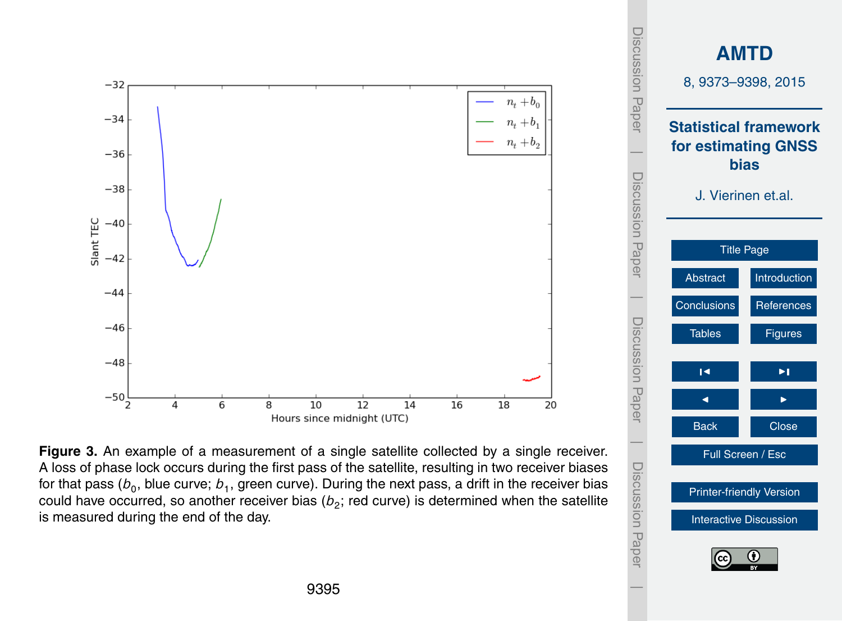<span id="page-22-0"></span>

**Figure 3.** An example of a measurement of a single satellite collected by a single receiver. A loss of phase lock occurs during the first pass of the satellite, resulting in two receiver biases for that pass ( $b_{0}$ , blue curve;  $b_{1}$ , green curve). During the next pass, a drift in the receiver bias could have occurred, so another receiver bias ( $b_2$ ; red curve) is determined when the satellite is measured during the end of the day.

Full Screen / Esc

[Printer-friendly Version](http://www.atmos-meas-tech-discuss.net/8/9373/2015/amtd-8-9373-2015-print.pdf) [Interactive Discussion](http://www.atmos-meas-tech-discuss.net/8/9373/2015/amtd-8-9373-2015-discussion.html)

Discussion Paper

Discussion Paper

 $\overline{\phantom{a}}$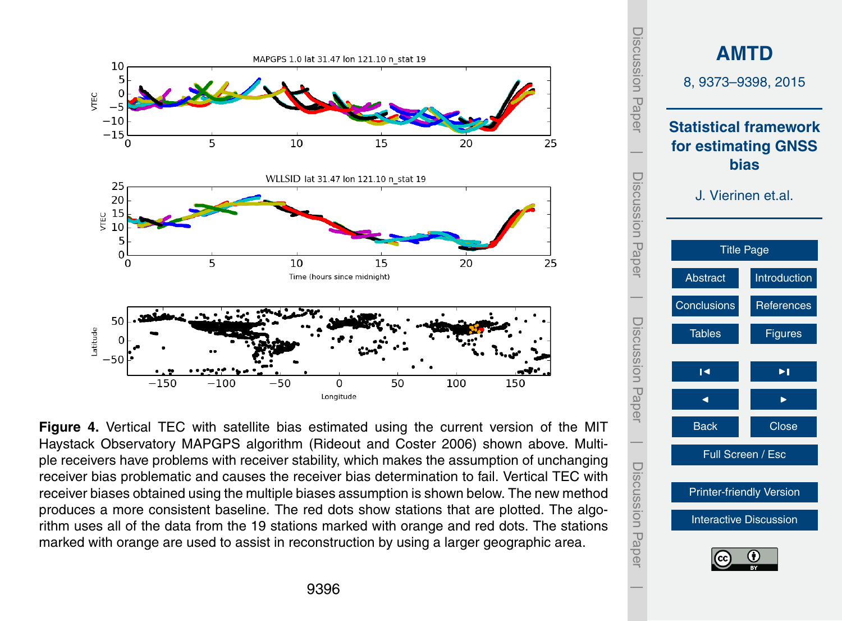<span id="page-23-0"></span>

**Figure 4.** Vertical TEC with satellite bias estimated using the current version of the MIT Haystack Observatory MAPGPS algorithm (Rideout and Coster 2006) shown above. Multiple receivers have problems with receiver stability, which makes the assumption of unchanging receiver bias problematic and causes the receiver bias determination to fail. Vertical TEC with receiver biases obtained using the multiple biases assumption is shown below. The new method produces a more consistent baseline. The red dots show stations that are plotted. The algorithm uses all of the data from the 19 stations marked with orange and red dots. The stations marked with orange are used to assist in reconstruction by using a larger geographic area.

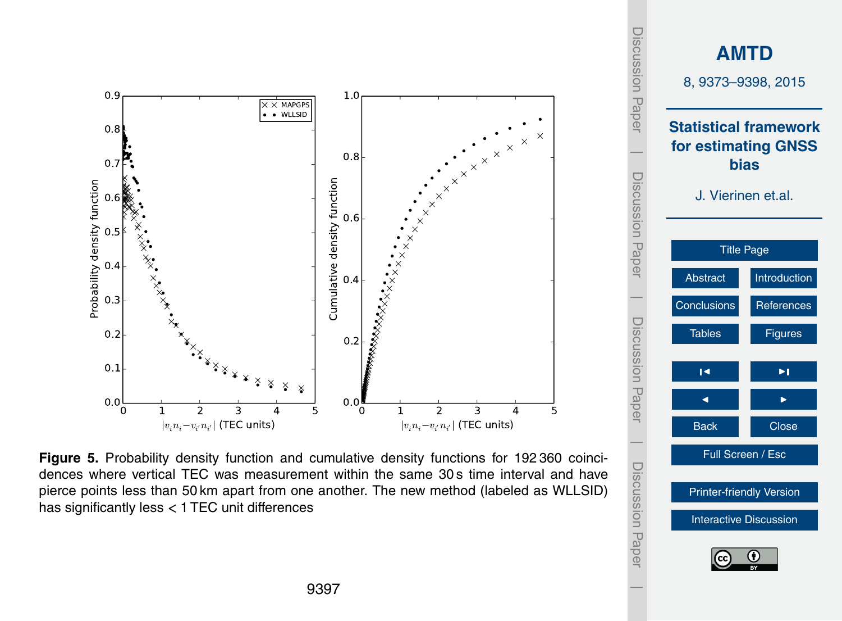<span id="page-24-0"></span>

**Figure 5.** Probability density function and cumulative density functions for 192 360 coincidences where vertical TEC was measurement within the same 30 s time interval and have pierce points less than 50 km apart from one another. The new method (labeled as WLLSID) has significantly less *<* 1 TEC unit differences

Discussion Paper

Discussion Paper

 $\overline{\phantom{a}}$